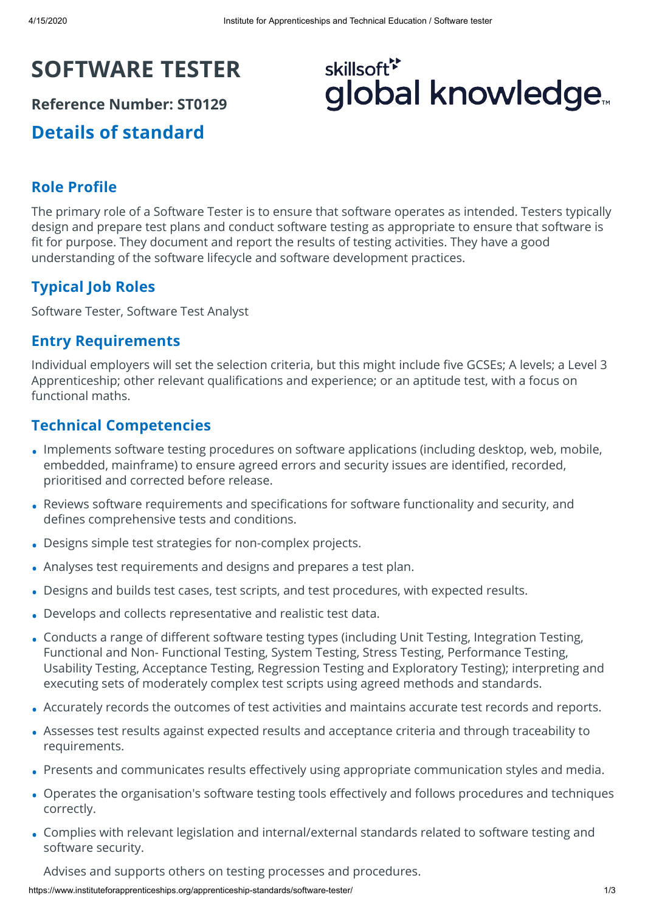# **SOFTWARE TESTER**

**Reference Number: ST0129**

**Details of standard**

# skillsoft<sup>\*</sup> global knowledge<sub>™</sub>

# **Role Profile**

The primary role of a Software Tester is to ensure that software operates as intended. Testers typically design and prepare test plans and conduct software testing as appropriate to ensure that software is fit for purpose. They document and report the results of testing activities. They have a good understanding of the software lifecycle and software development practices.

# **Typical Job Roles**

Software Tester, Software Test Analyst

### **Entry Requirements**

Individual employers will set the selection criteria, but this might include five GCSEs; A levels; a Level 3 Apprenticeship; other relevant qualifications and experience; or an aptitude test, with a focus on functional maths.

# **Technical Competencies**

- Implements software testing procedures on software applications (including desktop, web, mobile, embedded, mainframe) to ensure agreed errors and security issues are identified, recorded, prioritised and corrected before release.
- Reviews software requirements and specifications for software functionality and security, and defines comprehensive tests and conditions.
- Designs simple test strategies for non-complex projects. •
- Analyses test requirements and designs and prepares a test plan. •
- Designs and builds test cases, test scripts, and test procedures, with expected results. •
- Develops and collects representative and realistic test data. •
- Conducts a range of different software testing types (including Unit Testing, Integration Testing, Functional and Non- Functional Testing, System Testing, Stress Testing, Performance Testing, Usability Testing, Acceptance Testing, Regression Testing and Exploratory Testing); interpreting and executing sets of moderately complex test scripts using agreed methods and standards.
- Accurately records the outcomes of test activities and maintains accurate test records and reports. •
- Assesses test results against expected results and acceptance criteria and through traceability to requirements.
- Presents and communicates results effectively using appropriate communication styles and media.
- Operates the organisation's software testing tools effectively and follows procedures and techniques correctly.
- Complies with relevant legislation and internal/external standards related to software testing and software security.

Advises and supports others on testing processes and procedures.

https://www.instituteforapprenticeships.org/apprenticeship-standards/software-tester/ 1/3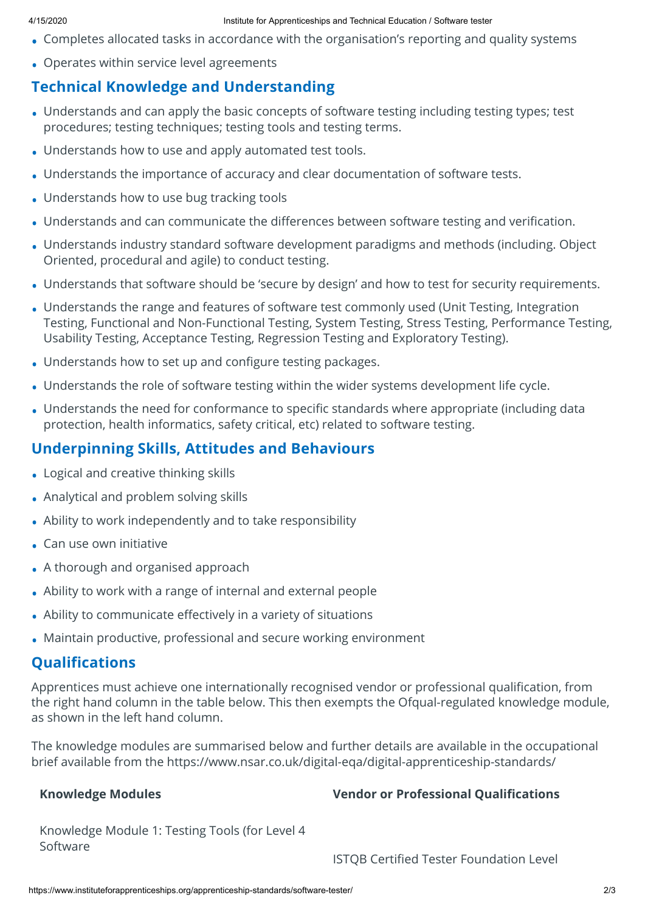- Completes allocated tasks in accordance with the organisation's reporting and quality systems
- Operates within service level agreements

# **Technical Knowledge and Understanding**

- Understands and can apply the basic concepts of software testing including testing types; test procedures; testing techniques; testing tools and testing terms.
- Understands how to use and apply automated test tools. •
- Understands the importance of accuracy and clear documentation of software tests. •
- Understands how to use bug tracking tools
- Understands and can communicate the differences between software testing and verification.
- Understands industry standard software development paradigms and methods (including. Object Oriented, procedural and agile) to conduct testing.
- Understands that software should be 'secure by design' and how to test for security requirements. •
- Understands the range and features of software test commonly used (Unit Testing, Integration Testing, Functional and Non-Functional Testing, System Testing, Stress Testing, Performance Testing, Usability Testing, Acceptance Testing, Regression Testing and Exploratory Testing).
- Understands how to set up and configure testing packages.
- Understands the role of software testing within the wider systems development life cycle. •
- Understands the need for conformance to specific standards where appropriate (including data protection, health informatics, safety critical, etc) related to software testing.

# **Underpinning Skills, Attitudes and Behaviours**

- Logical and creative thinking skills •
- Analytical and problem solving skills •
- Ability to work independently and to take responsibility •
- Can use own initiative
- A thorough and organised approach •
- Ability to work with a range of internal and external people •
- Ability to communicate effectively in a variety of situations
- Maintain productive, professional and secure working environment •

# **Qualifications**

Apprentices must achieve one internationally recognised vendor or professional qualification, from the right hand column in the table below. This then exempts the Ofqual-regulated knowledge module, as shown in the left hand column.

The knowledge modules are summarised below and further details are available in the occupational brief available from the<https://www.nsar.co.uk/digital-eqa/digital-apprenticeship-standards/>

# **Knowledge Modules Vendor or Professional Qualications**

Knowledge Module 1: Testing Tools (for Level 4 Software

**ISTOB Certified Tester Foundation Level**